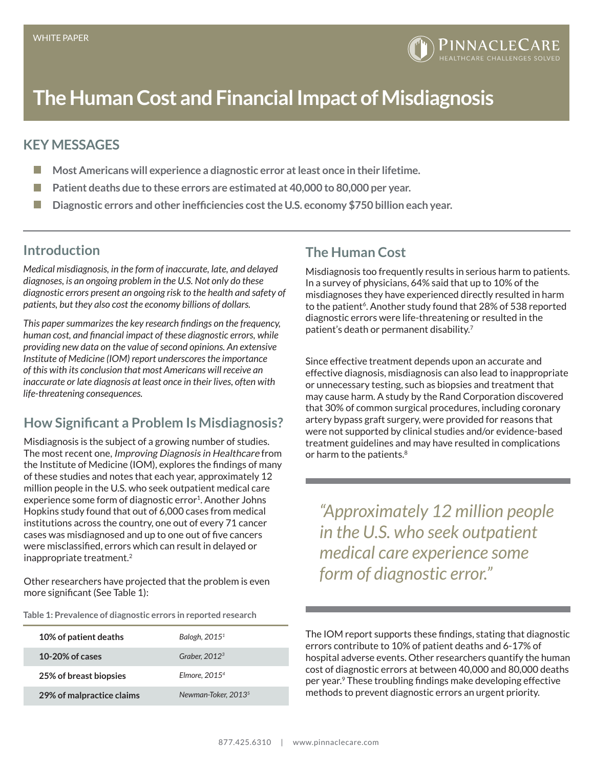# **The Human Cost and Financial Impact of Misdiagnosis**

#### **KEY MESSAGES**

- $\mathbb{R}^n$ **Most Americans will experience a diagnostic error at least once in their lifetime.**
- **Patient deaths due to these errors are estimated at 40,000 to 80,000 per year. I**
- m. **Diagnostic errors and other inefficiencies cost the U.S. economy \$750 billion each year.**

#### **Introduction**

*Medical misdiagnosis, in the form of inaccurate, late, and delayed diagnoses, is an ongoing problem in the U.S. Not only do these diagnostic errors present an ongoing risk to the health and safety of patients, but they also cost the economy billions of dollars.* 

*This paper summarizes the key research findings on the frequency, human cost, and financial impact of these diagnostic errors, while providing new data on the value of second opinions. An extensive Institute of Medicine (IOM) report underscores the importance of this with its conclusion that most Americans will receive an inaccurate or late diagnosis at least once in their lives, often with life-threatening consequences.*

# **How Significant a Problem Is Misdiagnosis?**

Misdiagnosis is the subject of a growing number of studies. The most recent one, Improving Diagnosis in Healthcare from the Institute of Medicine (IOM), explores the findings of many of these studies and notes that each year, approximately 12 million people in the U.S. who seek outpatient medical care experience some form of diagnostic error<sup>1</sup>. Another Johns Hopkins study found that out of 6,000 cases from medical institutions across the country, one out of every 71 cancer cases was misdiagnosed and up to one out of five cancers were misclassified, errors which can result in delayed or inappropriate treatment.<sup>2</sup>

Other researchers have projected that the problem is even more significant (See Table 1):

|  |  | Table 1: Prevalence of diagnostic errors in reported research |
|--|--|---------------------------------------------------------------|
|  |  |                                                               |

| 10% of patient deaths     | Balogh, 2015 <sup>1</sup>       |
|---------------------------|---------------------------------|
| 10-20% of cases           | Graber, $20123$                 |
| 25% of breast biopsies    | Elmore, $20154$                 |
| 29% of malpractice claims | Newman-Toker, 2013 <sup>5</sup> |

### **The Human Cost**

Misdiagnosis too frequently results in serious harm to patients. In a survey of physicians, 64% said that up to 10% of the misdiagnoses they have experienced directly resulted in harm to the patient<sup>6</sup>. Another study found that 28% of 538 reported diagnostic errors were life-threatening or resulted in the patient's death or permanent disability.7

Since effective treatment depends upon an accurate and effective diagnosis, misdiagnosis can also lead to inappropriate or unnecessary testing, such as biopsies and treatment that may cause harm. A study by the Rand Corporation discovered that 30% of common surgical procedures, including coronary artery bypass graft surgery, were provided for reasons that were not supported by clinical studies and/or evidence-based treatment guidelines and may have resulted in complications or harm to the patients.<sup>8</sup>

*"Approximately 12 million people in the U.S. who seek outpatient medical care experience some form of diagnostic error."*

The IOM report supports these findings, stating that diagnostic errors contribute to 10% of patient deaths and 6-17% of hospital adverse events. Other researchers quantify the human cost of diagnostic errors at between 40,000 and 80,000 deaths per year.9 These troubling findings make developing effective methods to prevent diagnostic errors an urgent priority.